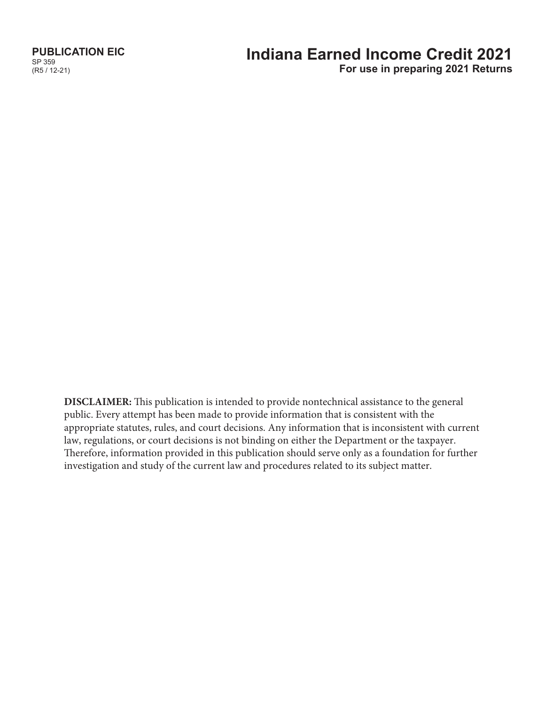#### **PUBLICATION EIC** SP 359 (R5 / 12-21)

# **Indiana Earned Income Credit 2021**

**For use in preparing 2021 Returns**

**DISCLAIMER:** This publication is intended to provide nontechnical assistance to the general public. Every attempt has been made to provide information that is consistent with the appropriate statutes, rules, and court decisions. Any information that is inconsistent with current law, regulations, or court decisions is not binding on either the Department or the taxpayer. Therefore, information provided in this publication should serve only as a foundation for further investigation and study of the current law and procedures related to its subject matter.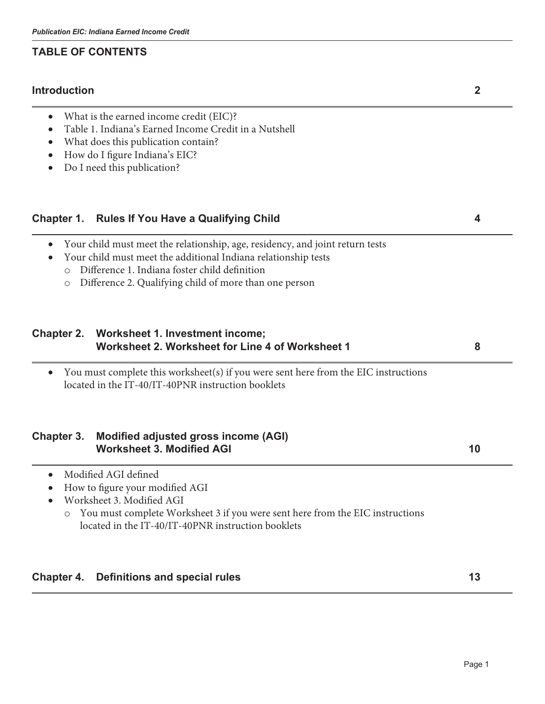#### **TABLE OF CONTENTS**

#### **Introduction 2**

- What is the earned income credit (EIC)? • Table 1. Indiana's Earned Income Credit in a Nutshell • What does this publication contain?
	- How do I figure Indiana's EIC?
	- Do I need this publication?

## **Chapter 1. Rules If You Have a Qualifying Child 4**

- Your child must meet the relationship, age, residency, and joint return tests
- • Your child must meet the additional Indiana relationship tests
	- o Difference 1. Indiana foster child definition
	- o Difference 2. Qualifying child of more than one person

#### **Chapter 2. Worksheet 1. Investment income; Worksheet 2. Worksheet for Line 4 of Worksheet 1 8**

• You must complete this worksheet(s) if you were sent here from the EIC instructions located in the IT-40/IT-40PNR instruction booklets

#### **Chapter 3. Modified adjusted gross income (AGI) Worksheet 3. Modified AGI 10**

- • Modified AGI defined
- How to figure your modified AGI
- • Worksheet 3. Modified AGI
	- o You must complete Worksheet 3 if you were sent here from the EIC instructions located in the IT-40/IT-40PNR instruction booklets

#### **Chapter 4. Definitions and special rules 13**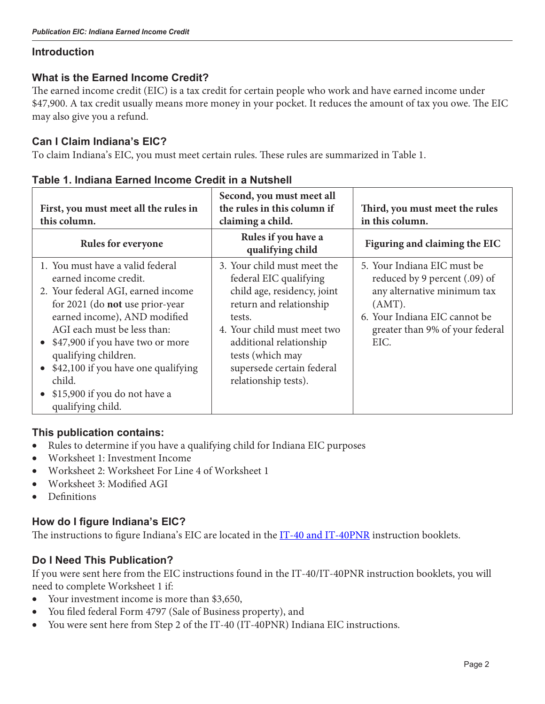#### **Introduction**

#### **What is the Earned Income Credit?**

The earned income credit (EIC) is a tax credit for certain people who work and have earned income under \$47,900. A tax credit usually means more money in your pocket. It reduces the amount of tax you owe. The EIC may also give you a refund.

#### **Can I Claim Indiana's EIC?**

To claim Indiana's EIC, you must meet certain rules. These rules are summarized in Table 1.

| First, you must meet all the rules in<br>this column.                                                                                                                                                                                                                                                                                                                                     | Second, you must meet all<br>the rules in this column if<br>claiming a child.                                                                                                                                                                                | Third, you must meet the rules<br>in this column.                                                                                                                                    |  |
|-------------------------------------------------------------------------------------------------------------------------------------------------------------------------------------------------------------------------------------------------------------------------------------------------------------------------------------------------------------------------------------------|--------------------------------------------------------------------------------------------------------------------------------------------------------------------------------------------------------------------------------------------------------------|--------------------------------------------------------------------------------------------------------------------------------------------------------------------------------------|--|
| <b>Rules for everyone</b>                                                                                                                                                                                                                                                                                                                                                                 | Rules if you have a<br>qualifying child                                                                                                                                                                                                                      | Figuring and claiming the EIC                                                                                                                                                        |  |
| 1. You must have a valid federal<br>earned income credit.<br>2. Your federal AGI, earned income<br>for 2021 (do <b>not</b> use prior-year<br>earned income), AND modified<br>AGI each must be less than:<br>• \$47,900 if you have two or more<br>qualifying children.<br>$\bullet$ \$42,100 if you have one qualifying<br>child.<br>• \$15,900 if you do not have a<br>qualifying child. | 3. Your child must meet the<br>federal EIC qualifying<br>child age, residency, joint<br>return and relationship<br>tests.<br>4. Your child must meet two<br>additional relationship<br>tests (which may<br>supersede certain federal<br>relationship tests). | 5. Your Indiana EIC must be<br>reduced by 9 percent (.09) of<br>any alternative minimum tax<br>$(AMT)$ .<br>6. Your Indiana EIC cannot be<br>greater than 9% of your federal<br>EIC. |  |

#### **Table 1. Indiana Earned Income Credit in a Nutshell**

#### **This publication contains:**

- Rules to determine if you have a qualifying child for Indiana EIC purposes
- • Worksheet 1: Investment Income
- Worksheet 2: Worksheet For Line 4 of Worksheet 1
- Worksheet 3: Modified AGI
- • Definitions

#### **How do I figure Indiana's EIC?**

The instructions to figure Indiana's EIC are located in the  $IT-40$  and IT-40PNR instruction booklets.</u>

#### **Do I Need This Publication?**

If you were sent here from the EIC instructions found in the IT-40/IT-40PNR instruction booklets, you will need to complete Worksheet 1 if:

- Your investment income is more than \$3,650,
- • You filed federal Form 4797 (Sale of Business property), and
- You were sent here from Step 2 of the IT-40 (IT-40PNR) Indiana EIC instructions.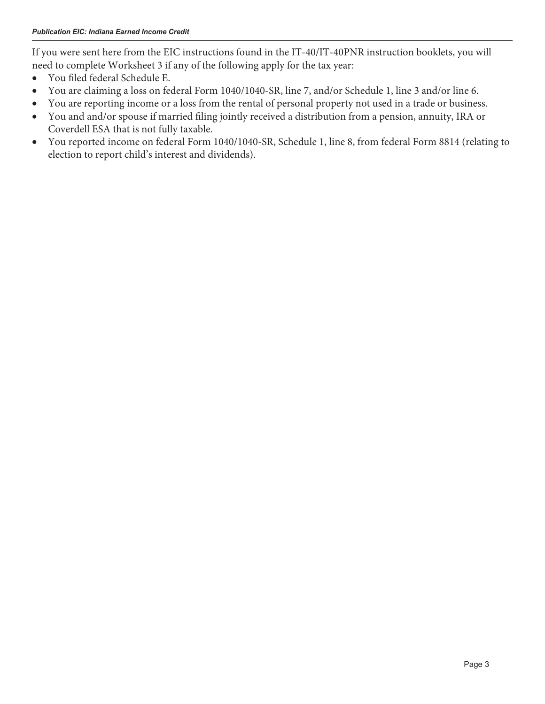If you were sent here from the EIC instructions found in the IT-40/IT-40PNR instruction booklets, you will need to complete Worksheet 3 if any of the following apply for the tax year:

- • You filed federal Schedule E.
- • You are claiming a loss on federal Form 1040/1040-SR, line 7, and/or Schedule 1, line 3 and/or line 6.
- You are reporting income or a loss from the rental of personal property not used in a trade or business.
- • You and and/or spouse if married filing jointly received a distribution from a pension, annuity, IRA or Coverdell ESA that is not fully taxable.
- • You reported income on federal Form 1040/1040-SR, Schedule 1, line 8, from federal Form 8814 (relating to election to report child's interest and dividends).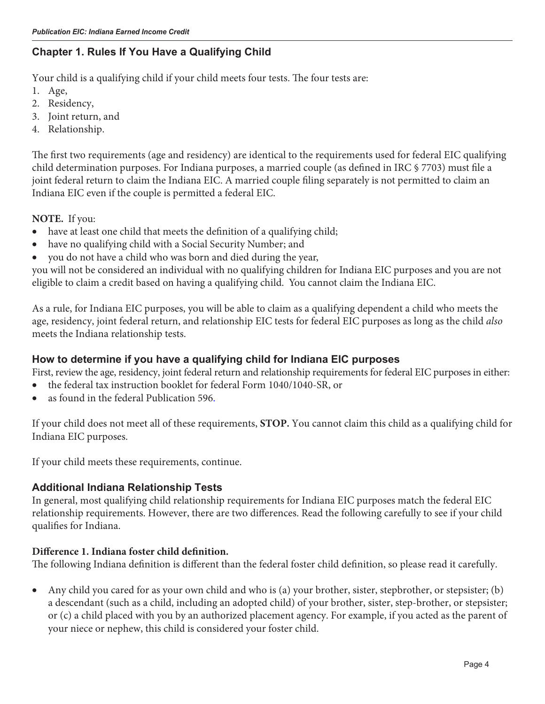#### **Chapter 1. Rules If You Have a Qualifying Child**

Your child is a qualifying child if your child meets four tests. The four tests are:

- 1. Age,
- 2. Residency,
- 3. Joint return, and
- 4. Relationship.

The first two requirements (age and residency) are identical to the requirements used for federal EIC qualifying child determination purposes. For Indiana purposes, a married couple (as defined in IRC § 7703) must file a joint federal return to claim the Indiana EIC. A married couple filing separately is not permitted to claim an Indiana EIC even if the couple is permitted a federal EIC.

#### **NOTE.** If you:

- have at least one child that meets the definition of a qualifying child;
- have no qualifying child with a Social Security Number; and
- you do not have a child who was born and died during the year,

you will not be considered an individual with no qualifying children for Indiana EIC purposes and you are not eligible to claim a credit based on having a qualifying child. You cannot claim the Indiana EIC.

As a rule, for Indiana EIC purposes, you will be able to claim as a qualifying dependent a child who meets the age, residency, joint federal return, and relationship EIC tests for federal EIC purposes as long as the child *also* meets the Indiana relationship tests.

#### **How to determine if you have a qualifying child for Indiana EIC purposes**

First, review the age, residency, joint federal return and relationship requirements for federal EIC purposes in either:

- the federal tax instruction booklet for federal Form 1040/1040-SR, or
- as found in the federal Publication 596.

If your child does not meet all of these requirements, **STOP.** You cannot claim this child as a qualifying child for Indiana EIC purposes.

If your child meets these requirements, continue.

#### **Additional Indiana Relationship Tests**

In general, most qualifying child relationship requirements for Indiana EIC purposes match the federal EIC relationship requirements. However, there are two differences. Read the following carefully to see if your child qualifies for Indiana.

#### **Difference 1. Indiana foster child definition.**

The following Indiana definition is different than the federal foster child definition, so please read it carefully.

• Any child you cared for as your own child and who is (a) your brother, sister, stepbrother, or stepsister; (b) a descendant (such as a child, including an adopted child) of your brother, sister, step-brother, or stepsister; or (c) a child placed with you by an authorized placement agency. For example, if you acted as the parent of your niece or nephew, this child is considered your foster child.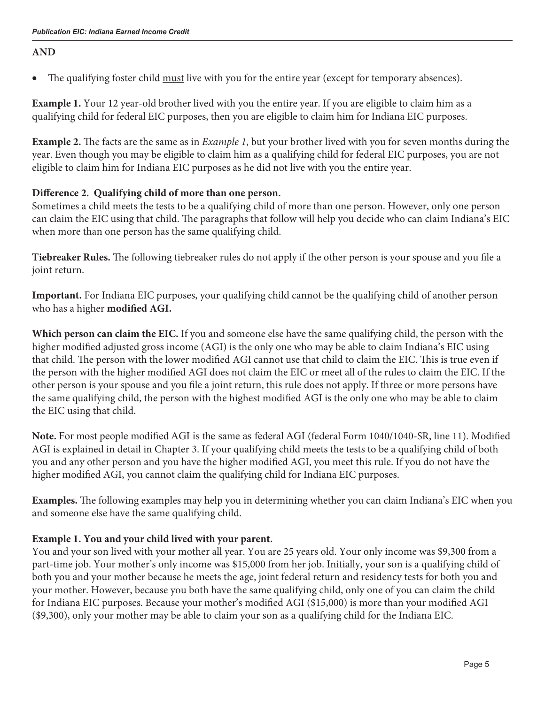#### **AND**

The qualifying foster child must live with you for the entire year (except for temporary absences).

**Example 1.** Your 12 year-old brother lived with you the entire year. If you are eligible to claim him as a qualifying child for federal EIC purposes, then you are eligible to claim him for Indiana EIC purposes.

**Example 2.** The facts are the same as in *Example 1*, but your brother lived with you for seven months during the year. Even though you may be eligible to claim him as a qualifying child for federal EIC purposes, you are not eligible to claim him for Indiana EIC purposes as he did not live with you the entire year.

#### **Difference 2. Qualifying child of more than one person.**

Sometimes a child meets the tests to be a qualifying child of more than one person. However, only one person can claim the EIC using that child. The paragraphs that follow will help you decide who can claim Indiana's EIC when more than one person has the same qualifying child.

**Tiebreaker Rules.** The following tiebreaker rules do not apply if the other person is your spouse and you file a joint return.

**Important.** For Indiana EIC purposes, your qualifying child cannot be the qualifying child of another person who has a higher **modified AGI.**

**Which person can claim the EIC.** If you and someone else have the same qualifying child, the person with the higher modified adjusted gross income (AGI) is the only one who may be able to claim Indiana's EIC using that child. The person with the lower modified AGI cannot use that child to claim the EIC. This is true even if the person with the higher modified AGI does not claim the EIC or meet all of the rules to claim the EIC. If the other person is your spouse and you file a joint return, this rule does not apply. If three or more persons have the same qualifying child, the person with the highest modified AGI is the only one who may be able to claim the EIC using that child.

**Note.** For most people modified AGI is the same as federal AGI (federal Form 1040/1040-SR, line 11). Modified AGI is explained in detail in Chapter 3. If your qualifying child meets the tests to be a qualifying child of both you and any other person and you have the higher modified AGI, you meet this rule. If you do not have the higher modified AGI, you cannot claim the qualifying child for Indiana EIC purposes.

**Examples.** The following examples may help you in determining whether you can claim Indiana's EIC when you and someone else have the same qualifying child.

#### **Example 1. You and your child lived with your parent.**

You and your son lived with your mother all year. You are 25 years old. Your only income was \$9,300 from a part-time job. Your mother's only income was \$15,000 from her job. Initially, your son is a qualifying child of both you and your mother because he meets the age, joint federal return and residency tests for both you and your mother. However, because you both have the same qualifying child, only one of you can claim the child for Indiana EIC purposes. Because your mother's modified AGI (\$15,000) is more than your modified AGI (\$9,300), only your mother may be able to claim your son as a qualifying child for the Indiana EIC.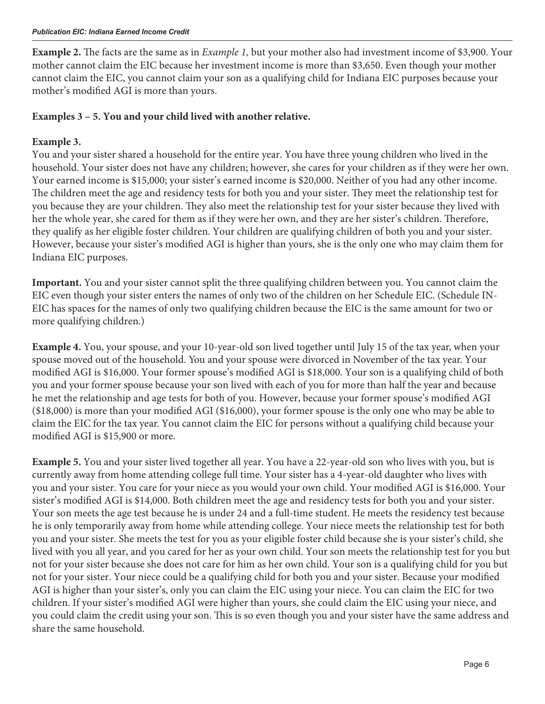**Example 2.** The facts are the same as in *Example 1,* but your mother also had investment income of \$3,900. Your mother cannot claim the EIC because her investment income is more than \$3,650. Even though your mother cannot claim the EIC, you cannot claim your son as a qualifying child for Indiana EIC purposes because your mother's modified AGI is more than yours.

#### **Examples 3 – 5. You and your child lived with another relative.**

#### **Example 3.**

You and your sister shared a household for the entire year. You have three young children who lived in the household. Your sister does not have any children; however, she cares for your children as if they were her own. Your earned income is \$15,000; your sister's earned income is \$20,000. Neither of you had any other income. The children meet the age and residency tests for both you and your sister. They meet the relationship test for you because they are your children. They also meet the relationship test for your sister because they lived with her the whole year, she cared for them as if they were her own, and they are her sister's children. Therefore, they qualify as her eligible foster children. Your children are qualifying children of both you and your sister. However, because your sister's modified AGI is higher than yours, she is the only one who may claim them for Indiana EIC purposes.

**Important.** You and your sister cannot split the three qualifying children between you. You cannot claim the EIC even though your sister enters the names of only two of the children on her Schedule EIC. (Schedule IN-EIC has spaces for the names of only two qualifying children because the EIC is the same amount for two or more qualifying children.)

**Example 4.** You, your spouse, and your 10-year-old son lived together until July 15 of the tax year, when your spouse moved out of the household. You and your spouse were divorced in November of the tax year. Your modified AGI is \$16,000. Your former spouse's modified AGI is \$18,000. Your son is a qualifying child of both you and your former spouse because your son lived with each of you for more than half the year and because he met the relationship and age tests for both of you. However, because your former spouse's modified AGI (\$18,000) is more than your modified AGI (\$16,000), your former spouse is the only one who may be able to claim the EIC for the tax year. You cannot claim the EIC for persons without a qualifying child because your modified AGI is \$15,900 or more.

**Example 5.** You and your sister lived together all year. You have a 22-year-old son who lives with you, but is currently away from home attending college full time. Your sister has a 4-year-old daughter who lives with you and your sister. You care for your niece as you would your own child. Your modified AGI is \$16,000. Your sister's modified AGI is \$14,000. Both children meet the age and residency tests for both you and your sister. Your son meets the age test because he is under 24 and a full-time student. He meets the residency test because he is only temporarily away from home while attending college. Your niece meets the relationship test for both you and your sister. She meets the test for you as your eligible foster child because she is your sister's child, she lived with you all year, and you cared for her as your own child. Your son meets the relationship test for you but not for your sister because she does not care for him as her own child. Your son is a qualifying child for you but not for your sister. Your niece could be a qualifying child for both you and your sister. Because your modified AGI is higher than your sister's, only you can claim the EIC using your niece. You can claim the EIC for two children. If your sister's modified AGI were higher than yours, she could claim the EIC using your niece, and you could claim the credit using your son. This is so even though you and your sister have the same address and share the same household.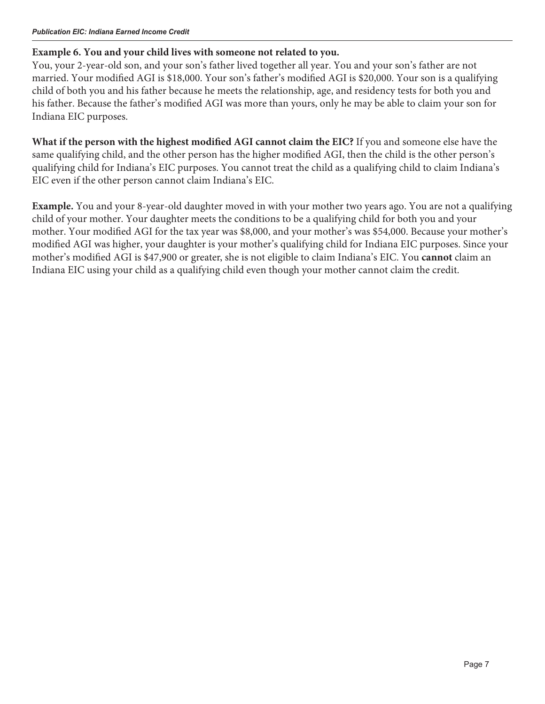#### *Publication EIC: Indiana Earned Income Credit*

#### **Example 6. You and your child lives with someone not related to you.**

You, your 2-year-old son, and your son's father lived together all year. You and your son's father are not married. Your modified AGI is \$18,000. Your son's father's modified AGI is \$20,000. Your son is a qualifying child of both you and his father because he meets the relationship, age, and residency tests for both you and his father. Because the father's modified AGI was more than yours, only he may be able to claim your son for Indiana EIC purposes.

**What if the person with the highest modified AGI cannot claim the EIC?** If you and someone else have the same qualifying child, and the other person has the higher modified AGI, then the child is the other person's qualifying child for Indiana's EIC purposes. You cannot treat the child as a qualifying child to claim Indiana's EIC even if the other person cannot claim Indiana's EIC.

**Example.** You and your 8-year-old daughter moved in with your mother two years ago. You are not a qualifying child of your mother. Your daughter meets the conditions to be a qualifying child for both you and your mother. Your modified AGI for the tax year was \$8,000, and your mother's was \$54,000. Because your mother's modified AGI was higher, your daughter is your mother's qualifying child for Indiana EIC purposes. Since your mother's modified AGI is \$47,900 or greater, she is not eligible to claim Indiana's EIC. You **cannot** claim an Indiana EIC using your child as a qualifying child even though your mother cannot claim the credit.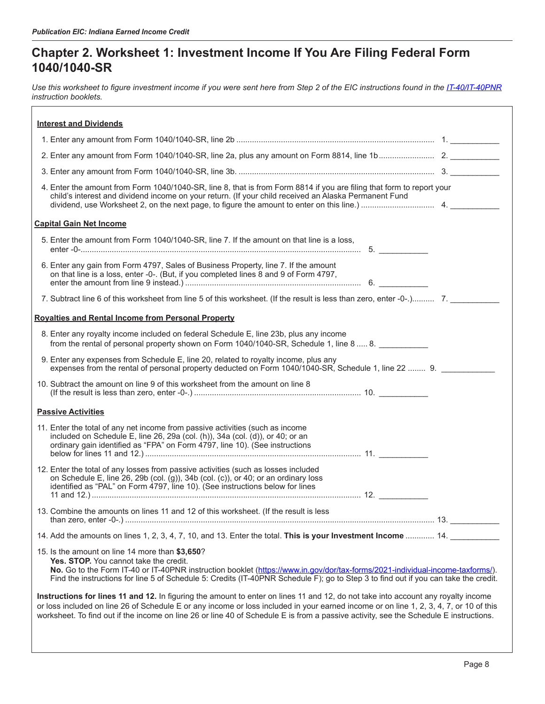# **Chapter 2. Worksheet 1: Investment Income If You Are Filing Federal Form 1040/1040-SR**

*Use this worksheet to figure investment income if you were sent here from Step 2 of the EIC instructions found in the IT-40/IT-40PNR instruction booklets.*

| <b>Interest and Dividends</b>                                                                                                                                                                                                                                                                                                                                                                                        |  |
|----------------------------------------------------------------------------------------------------------------------------------------------------------------------------------------------------------------------------------------------------------------------------------------------------------------------------------------------------------------------------------------------------------------------|--|
|                                                                                                                                                                                                                                                                                                                                                                                                                      |  |
|                                                                                                                                                                                                                                                                                                                                                                                                                      |  |
|                                                                                                                                                                                                                                                                                                                                                                                                                      |  |
| 4. Enter the amount from Form 1040/1040-SR, line 8, that is from Form 8814 if you are filing that form to report your<br>child's interest and dividend income on your return. (If your child received an Alaska Permanent Fund                                                                                                                                                                                       |  |
| <b>Capital Gain Net Income</b>                                                                                                                                                                                                                                                                                                                                                                                       |  |
| 5. Enter the amount from Form 1040/1040-SR, line 7. If the amount on that line is a loss,                                                                                                                                                                                                                                                                                                                            |  |
| 6. Enter any gain from Form 4797, Sales of Business Property, line 7. If the amount<br>on that line is a loss, enter -0-. (But, if you completed lines 8 and 9 of Form 4797,                                                                                                                                                                                                                                         |  |
| 7. Subtract line 6 of this worksheet from line 5 of this worksheet. (If the result is less than zero, enter -0-.) 7.                                                                                                                                                                                                                                                                                                 |  |
| <b>Royalties and Rental Income from Personal Property</b>                                                                                                                                                                                                                                                                                                                                                            |  |
| 8. Enter any royalty income included on federal Schedule E, line 23b, plus any income<br>from the rental of personal property shown on Form 1040/1040-SR, Schedule 1, line 8  8.                                                                                                                                                                                                                                     |  |
| 9. Enter any expenses from Schedule E, line 20, related to royalty income, plus any<br>expenses from the rental of personal property deducted on Form 1040/1040-SR, Schedule 1, line 22  9.                                                                                                                                                                                                                          |  |
| 10. Subtract the amount on line 9 of this worksheet from the amount on line 8                                                                                                                                                                                                                                                                                                                                        |  |
| <b>Passive Activities</b>                                                                                                                                                                                                                                                                                                                                                                                            |  |
| 11. Enter the total of any net income from passive activities (such as income<br>included on Schedule E, line 26, 29a (col. (h)), 34a (col. (d)), or 40; or an<br>ordinary gain identified as "FPA" on Form 4797, line 10). (See instructions                                                                                                                                                                        |  |
| 12. Enter the total of any losses from passive activities (such as losses included<br>on Schedule E, line 26, 29b (col. (g)), 34b (col. (c)), or 40; or an ordinary loss<br>identified as "PAL" on Form 4797, line 10). (See instructions below for lines                                                                                                                                                            |  |
| 13. Combine the amounts on lines 11 and 12 of this worksheet. (If the result is less                                                                                                                                                                                                                                                                                                                                 |  |
| 14. Add the amounts on lines 1, 2, 3, 4, 7, 10, and 13. Enter the total. This is your Investment Income  14.                                                                                                                                                                                                                                                                                                         |  |
| 15. Is the amount on line 14 more than \$3,650?<br>Yes. STOP. You cannot take the credit.<br>No. Go to the Form IT-40 or IT-40PNR instruction booklet (https://www.in.gov/dor/tax-forms/2021-individual-income-taxforms/).<br>Find the instructions for line 5 of Schedule 5: Credits (IT-40PNR Schedule F); go to Step 3 to find out if you can take the credit.                                                    |  |
| Instructions for lines 11 and 12. In figuring the amount to enter on lines 11 and 12, do not take into account any royalty income<br>or loss included on line 26 of Schedule E or any income or loss included in your earned income or on line 1, 2, 3, 4, 7, or 10 of this<br>worksheet. To find out if the income on line 26 or line 40 of Schedule E is from a passive activity, see the Schedule E instructions. |  |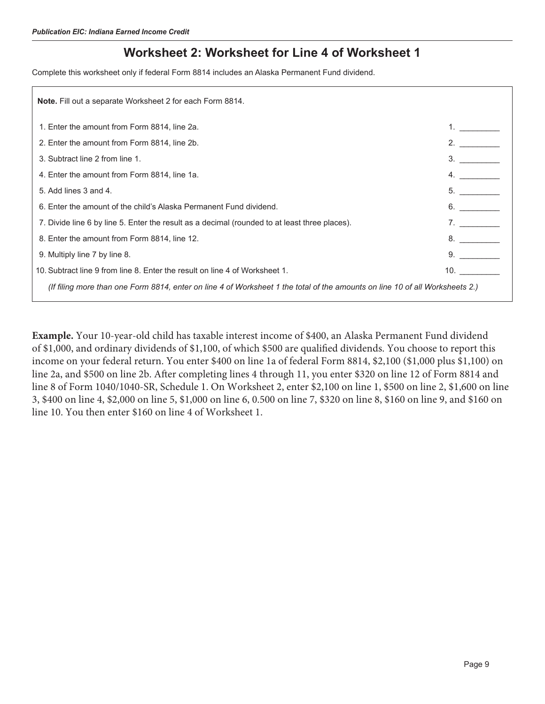# **Worksheet 2: Worksheet for Line 4 of Worksheet 1**

Complete this worksheet only if federal Form 8814 includes an Alaska Permanent Fund dividend.

| <b>Note.</b> Fill out a separate Worksheet 2 for each Form 8814.                                                             |    |  |  |
|------------------------------------------------------------------------------------------------------------------------------|----|--|--|
| 1. Enter the amount from Form 8814, line 2a.                                                                                 |    |  |  |
| 2. Enter the amount from Form 8814, line 2b.                                                                                 | 2. |  |  |
| 3. Subtract line 2 from line 1.                                                                                              | 3. |  |  |
| 4. Enter the amount from Form 8814, line 1a.                                                                                 |    |  |  |
| 5. Add lines 3 and 4.                                                                                                        |    |  |  |
| 6. Enter the amount of the child's Alaska Permanent Fund dividend.                                                           |    |  |  |
| 7. Divide line 6 by line 5. Enter the result as a decimal (rounded to at least three places).                                |    |  |  |
| 8. Enter the amount from Form 8814, line 12.                                                                                 | 8. |  |  |
| 9. Multiply line 7 by line 8.                                                                                                |    |  |  |
| 10. Subtract line 9 from line 8. Enter the result on line 4 of Worksheet 1.<br>10.                                           |    |  |  |
| (If filing more than one Form 8814, enter on line 4 of Worksheet 1 the total of the amounts on line 10 of all Worksheets 2.) |    |  |  |

**Example.** Your 10-year-old child has taxable interest income of \$400, an Alaska Permanent Fund dividend of \$1,000, and ordinary dividends of \$1,100, of which \$500 are qualified dividends. You choose to report this income on your federal return. You enter \$400 on line 1a of federal Form 8814, \$2,100 (\$1,000 plus \$1,100) on line 2a, and \$500 on line 2b. After completing lines 4 through 11, you enter \$320 on line 12 of Form 8814 and line 8 of Form 1040/1040-SR, Schedule 1. On Worksheet 2, enter \$2,100 on line 1, \$500 on line 2, \$1,600 on line 3, \$400 on line 4, \$2,000 on line 5, \$1,000 on line 6, 0.500 on line 7, \$320 on line 8, \$160 on line 9, and \$160 on line 10. You then enter \$160 on line 4 of Worksheet 1.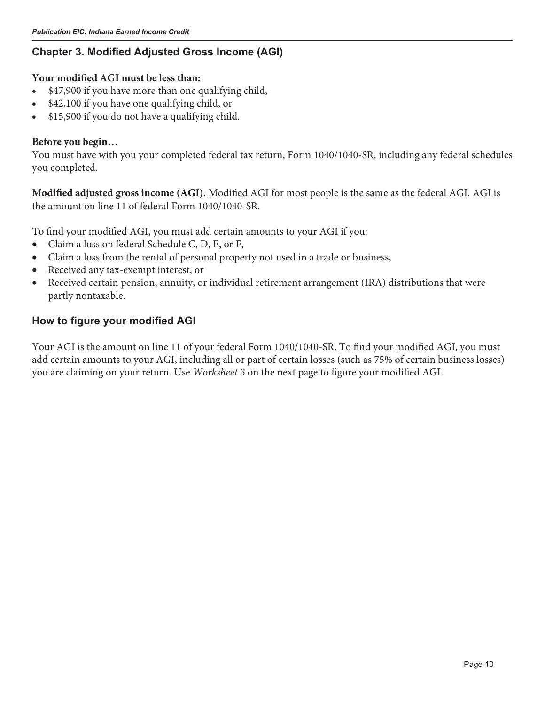#### **Chapter 3. Modified Adjusted Gross Income (AGI)**

#### **Your modified AGI must be less than:**

- \$47,900 if you have more than one qualifying child,
- \$42,100 if you have one qualifying child, or
- \$15,900 if you do not have a qualifying child.

#### **Before you begin…**

You must have with you your completed federal tax return, Form 1040/1040-SR, including any federal schedules you completed.

**Modified adjusted gross income (AGI).** Modified AGI for most people is the same as the federal AGI. AGI is the amount on line 11 of federal Form 1040/1040-SR.

To find your modified AGI, you must add certain amounts to your AGI if you:

- • Claim a loss on federal Schedule C, D, E, or F,
- • Claim a loss from the rental of personal property not used in a trade or business,
- Received any tax-exempt interest, or
- Received certain pension, annuity, or individual retirement arrangement (IRA) distributions that were partly nontaxable.

## **How to figure your modified AGI**

Your AGI is the amount on line 11 of your federal Form 1040/1040-SR. To find your modified AGI, you must add certain amounts to your AGI, including all or part of certain losses (such as 75% of certain business losses) you are claiming on your return. Use *Worksheet 3* on the next page to figure your modified AGI.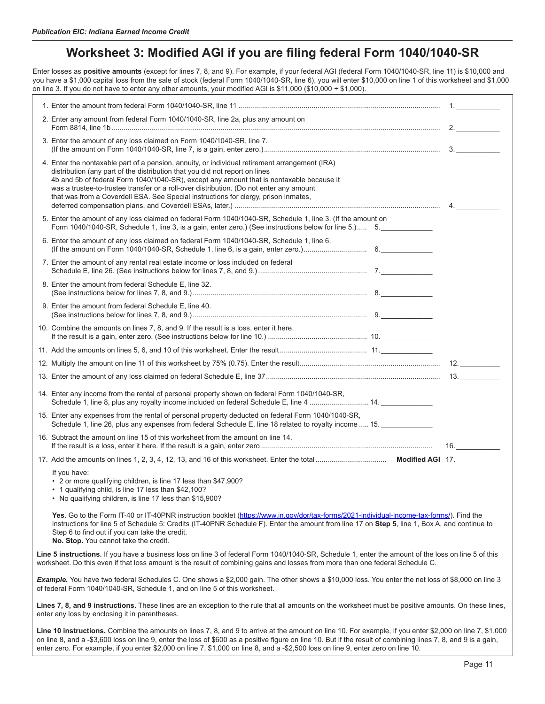# **Worksheet 3: Modified AGI if you are filing federal Form 1040/1040-SR**

Enter losses as **positive amounts** (except for lines 7, 8, and 9). For example, if your federal AGI (federal Form 1040/1040-SR, line 11) is \$10,000 and you have a \$1,000 capital loss from the sale of stock (federal Form 1040/1040-SR, line 6), you will enter \$10,000 on line 1 of this worksheet and \$1,000 on line 3. If you do not have to enter any other amounts, your modified AGI is \$11,000 (\$10,000 + \$1,000).

| 2. Enter any amount from federal Form 1040/1040-SR, line 2a, plus any amount on                                                                                                                                                                                                                                                                                                                                                                             |  |
|-------------------------------------------------------------------------------------------------------------------------------------------------------------------------------------------------------------------------------------------------------------------------------------------------------------------------------------------------------------------------------------------------------------------------------------------------------------|--|
| 3. Enter the amount of any loss claimed on Form 1040/1040-SR, line 7.                                                                                                                                                                                                                                                                                                                                                                                       |  |
| 4. Enter the nontaxable part of a pension, annuity, or individual retirement arrangement (IRA)<br>distribution (any part of the distribution that you did not report on lines<br>4b and 5b of federal Form 1040/1040-SR), except any amount that is nontaxable because it<br>was a trustee-to-trustee transfer or a roll-over distribution. (Do not enter any amount<br>that was from a Coverdell ESA. See Special instructions for clergy, prison inmates, |  |
| 5. Enter the amount of any loss claimed on federal Form 1040/1040-SR, Schedule 1, line 3. (If the amount on<br>Form 1040/1040-SR, Schedule 1, line 3, is a gain, enter zero.) (See instructions below for line 5.) 5.                                                                                                                                                                                                                                       |  |
| 6. Enter the amount of any loss claimed on federal Form 1040/1040-SR, Schedule 1, line 6.                                                                                                                                                                                                                                                                                                                                                                   |  |
| 7. Enter the amount of any rental real estate income or loss included on federal                                                                                                                                                                                                                                                                                                                                                                            |  |
| 8. Enter the amount from federal Schedule E. line 32.                                                                                                                                                                                                                                                                                                                                                                                                       |  |
| 9. Enter the amount from federal Schedule E, line 40.                                                                                                                                                                                                                                                                                                                                                                                                       |  |
| 10. Combine the amounts on lines 7, 8, and 9. If the result is a loss, enter it here.                                                                                                                                                                                                                                                                                                                                                                       |  |
|                                                                                                                                                                                                                                                                                                                                                                                                                                                             |  |
|                                                                                                                                                                                                                                                                                                                                                                                                                                                             |  |
|                                                                                                                                                                                                                                                                                                                                                                                                                                                             |  |
| 14. Enter any income from the rental of personal property shown on federal Form 1040/1040-SR,<br>Schedule 1, line 8, plus any royalty income included on federal Schedule E, line 4  14.                                                                                                                                                                                                                                                                    |  |
| 15. Enter any expenses from the rental of personal property deducted on federal Form 1040/1040-SR,<br>Schedule 1, line 26, plus any expenses from federal Schedule E, line 18 related to royalty income  15.                                                                                                                                                                                                                                                |  |
| 16. Subtract the amount on line 15 of this worksheet from the amount on line 14.                                                                                                                                                                                                                                                                                                                                                                            |  |
|                                                                                                                                                                                                                                                                                                                                                                                                                                                             |  |
| If you have:<br>• 2 or more qualifying children, is line 17 less than \$47,900?<br>• 1 qualifying child, is line 17 less than \$42,100?<br>• No qualifying children, is line 17 less than \$15,900?                                                                                                                                                                                                                                                         |  |
| Yes. Go to the Form IT-40 or IT-40PNR instruction booklet (https://www.in.gov/dor/tax-forms/2021-individual-income-tax-forms/). Find the<br>instructions for line 5 of Schedule 5: Credits (IT-40PNR Schedule F). Enter the amount from line 17 on Step 5, line 1, Box A, and continue to<br>Step 6 to find out if you can take the credit.<br>No. Stop. You cannot take the credit.                                                                        |  |
| Line 5 instructions. If you have a business loss on line 3 of federal Form 1040/1040-SR, Schedule 1, enter the amount of the loss on line 5 of this<br>worksheet. Do this even if that loss amount is the result of combining gains and losses from more than one federal Schedule C.                                                                                                                                                                       |  |
| Example. You have two federal Schedules C. One shows a \$2,000 gain. The other shows a \$10,000 loss. You enter the net loss of \$8,000 on line 3<br>of federal Form 1040/1040-SR, Schedule 1, and on line 5 of this worksheet.                                                                                                                                                                                                                             |  |
| Lines 7, 8, and 9 instructions. These lines are an exception to the rule that all amounts on the worksheet must be positive amounts. On these lines,<br>enter any loss by enclosing it in parentheses.                                                                                                                                                                                                                                                      |  |

Line 10 instructions. Combine the amounts on lines 7, 8, and 9 to arrive at the amount on line 10. For example, if you enter \$2,000 on line 7, \$1,000 on line 8, and a -\$3,600 loss on line 9, enter the loss of \$600 as a positive figure on line 10. But if the result of combining lines 7, 8, and 9 is a gain, enter zero. For example, if you enter \$2,000 on line 7, \$1,000 on line 8, and a -\$2,500 loss on line 9, enter zero on line 10.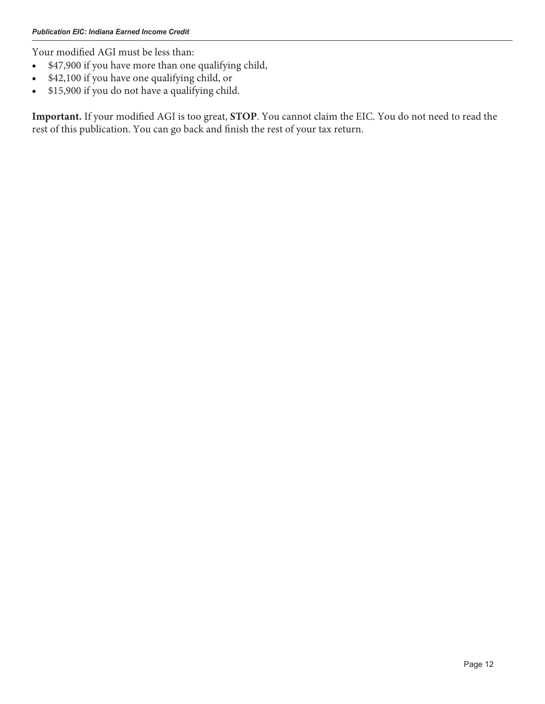Your modified AGI must be less than:

- \$47,900 if you have more than one qualifying child,
- • \$42,100 if you have one qualifying child, or
- • \$15,900 if you do not have a qualifying child.

**Important.** If your modified AGI is too great, **STOP**. You cannot claim the EIC. You do not need to read the rest of this publication. You can go back and finish the rest of your tax return.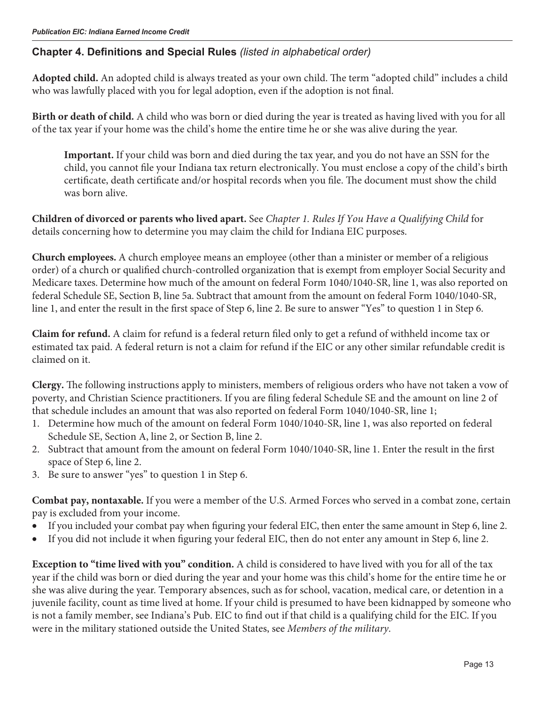#### **Chapter 4. Definitions and Special Rules** *(listed in alphabetical order)*

**Adopted child.** An adopted child is always treated as your own child. The term "adopted child" includes a child who was lawfully placed with you for legal adoption, even if the adoption is not final.

**Birth or death of child.** A child who was born or died during the year is treated as having lived with you for all of the tax year if your home was the child's home the entire time he or she was alive during the year.

**Important.** If your child was born and died during the tax year, and you do not have an SSN for the child, you cannot file your Indiana tax return electronically. You must enclose a copy of the child's birth certificate, death certificate and/or hospital records when you file. The document must show the child was born alive.

**Children of divorced or parents who lived apart.** See *Chapter 1. Rules If You Have a Qualifying Child* for details concerning how to determine you may claim the child for Indiana EIC purposes.

**Church employees.** A church employee means an employee (other than a minister or member of a religious order) of a church or qualified church-controlled organization that is exempt from employer Social Security and Medicare taxes. Determine how much of the amount on federal Form 1040/1040-SR, line 1, was also reported on federal Schedule SE, Section B, line 5a. Subtract that amount from the amount on federal Form 1040/1040-SR, line 1, and enter the result in the first space of Step 6, line 2. Be sure to answer "Yes" to question 1 in Step 6.

**Claim for refund.** A claim for refund is a federal return filed only to get a refund of withheld income tax or estimated tax paid. A federal return is not a claim for refund if the EIC or any other similar refundable credit is claimed on it.

**Clergy.** The following instructions apply to ministers, members of religious orders who have not taken a vow of poverty, and Christian Science practitioners. If you are filing federal Schedule SE and the amount on line 2 of that schedule includes an amount that was also reported on federal Form 1040/1040-SR, line 1;

- 1. Determine how much of the amount on federal Form 1040/1040-SR, line 1, was also reported on federal Schedule SE, Section A, line 2, or Section B, line 2.
- 2. Subtract that amount from the amount on federal Form 1040/1040-SR, line 1. Enter the result in the first space of Step 6, line 2.
- 3. Be sure to answer "yes" to question 1 in Step 6.

**Combat pay, nontaxable.** If you were a member of the U.S. Armed Forces who served in a combat zone, certain pay is excluded from your income.

- If you included your combat pay when figuring your federal EIC, then enter the same amount in Step 6, line 2.
- If you did not include it when figuring your federal EIC, then do not enter any amount in Step 6, line 2.

**Exception to "time lived with you" condition.** A child is considered to have lived with you for all of the tax year if the child was born or died during the year and your home was this child's home for the entire time he or she was alive during the year. Temporary absences, such as for school, vacation, medical care, or detention in a juvenile facility, count as time lived at home. If your child is presumed to have been kidnapped by someone who is not a family member, see Indiana's Pub. EIC to find out if that child is a qualifying child for the EIC. If you were in the military stationed outside the United States, see *Members of the military*.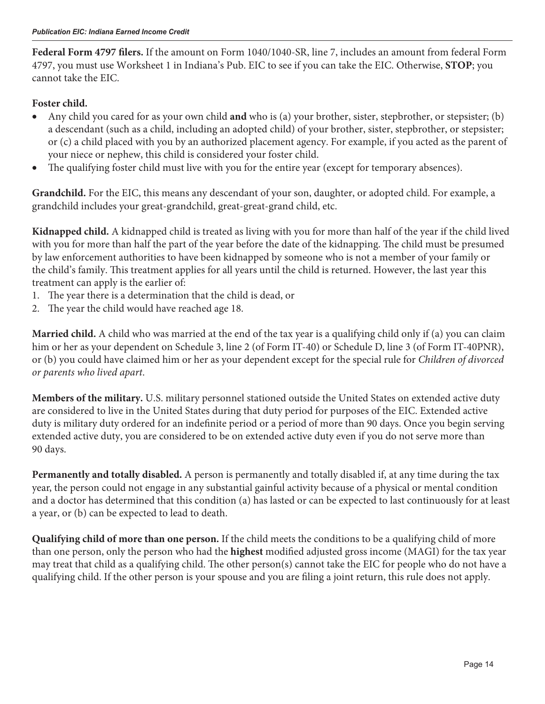**Federal Form 4797 filers.** If the amount on Form 1040/1040-SR, line 7, includes an amount from federal Form 4797, you must use Worksheet 1 in Indiana's Pub. EIC to see if you can take the EIC. Otherwise, **STOP**; you cannot take the EIC.

#### **Foster child.**

- • Any child you cared for as your own child **and** who is (a) your brother, sister, stepbrother, or stepsister; (b) a descendant (such as a child, including an adopted child) of your brother, sister, stepbrother, or stepsister; or (c) a child placed with you by an authorized placement agency. For example, if you acted as the parent of your niece or nephew, this child is considered your foster child.
- The qualifying foster child must live with you for the entire year (except for temporary absences).

**Grandchild.** For the EIC, this means any descendant of your son, daughter, or adopted child. For example, a grandchild includes your great-grandchild, great-great-grand child, etc.

**Kidnapped child.** A kidnapped child is treated as living with you for more than half of the year if the child lived with you for more than half the part of the year before the date of the kidnapping. The child must be presumed by law enforcement authorities to have been kidnapped by someone who is not a member of your family or the child's family. This treatment applies for all years until the child is returned. However, the last year this treatment can apply is the earlier of:

- 1. The year there is a determination that the child is dead, or
- 2. The year the child would have reached age 18.

**Married child.** A child who was married at the end of the tax year is a qualifying child only if (a) you can claim him or her as your dependent on Schedule 3, line 2 (of Form IT-40) or Schedule D, line 3 (of Form IT-40PNR), or (b) you could have claimed him or her as your dependent except for the special rule for *Children of divorced or parents who lived apart*.

**Members of the military.** U.S. military personnel stationed outside the United States on extended active duty are considered to live in the United States during that duty period for purposes of the EIC. Extended active duty is military duty ordered for an indefinite period or a period of more than 90 days. Once you begin serving extended active duty, you are considered to be on extended active duty even if you do not serve more than 90 days.

**Permanently and totally disabled.** A person is permanently and totally disabled if, at any time during the tax year, the person could not engage in any substantial gainful activity because of a physical or mental condition and a doctor has determined that this condition (a) has lasted or can be expected to last continuously for at least a year, or (b) can be expected to lead to death.

**Qualifying child of more than one person.** If the child meets the conditions to be a qualifying child of more than one person, only the person who had the **highest** modified adjusted gross income (MAGI) for the tax year may treat that child as a qualifying child. The other person(s) cannot take the EIC for people who do not have a qualifying child. If the other person is your spouse and you are filing a joint return, this rule does not apply.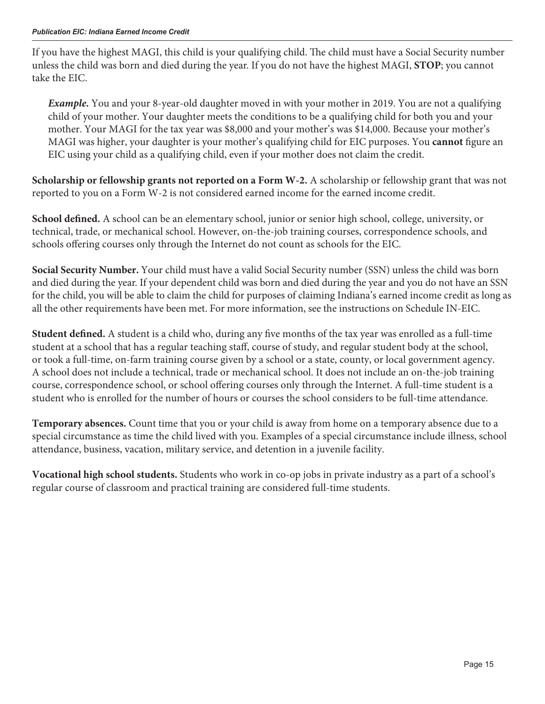If you have the highest MAGI, this child is your qualifying child. The child must have a Social Security number unless the child was born and died during the year. If you do not have the highest MAGI, **STOP**; you cannot take the EIC.

*Example.* You and your 8-year-old daughter moved in with your mother in 2019. You are not a qualifying child of your mother. Your daughter meets the conditions to be a qualifying child for both you and your mother. Your MAGI for the tax year was \$8,000 and your mother's was \$14,000. Because your mother's MAGI was higher, your daughter is your mother's qualifying child for EIC purposes. You **cannot** figure an EIC using your child as a qualifying child, even if your mother does not claim the credit.

**Scholarship or fellowship grants not reported on a Form W-2.** A scholarship or fellowship grant that was not reported to you on a Form W-2 is not considered earned income for the earned income credit.

**School defined.** A school can be an elementary school, junior or senior high school, college, university, or technical, trade, or mechanical school. However, on-the-job training courses, correspondence schools, and schools offering courses only through the Internet do not count as schools for the EIC.

**Social Security Number.** Your child must have a valid Social Security number (SSN) unless the child was born and died during the year. If your dependent child was born and died during the year and you do not have an SSN for the child, you will be able to claim the child for purposes of claiming Indiana's earned income credit as long as all the other requirements have been met. For more information, see the instructions on Schedule IN-EIC.

**Student defined.** A student is a child who, during any five months of the tax year was enrolled as a full-time student at a school that has a regular teaching staff, course of study, and regular student body at the school, or took a full-time, on-farm training course given by a school or a state, county, or local government agency. A school does not include a technical, trade or mechanical school. It does not include an on-the-job training course, correspondence school, or school offering courses only through the Internet. A full-time student is a student who is enrolled for the number of hours or courses the school considers to be full-time attendance.

**Temporary absences.** Count time that you or your child is away from home on a temporary absence due to a special circumstance as time the child lived with you. Examples of a special circumstance include illness, school attendance, business, vacation, military service, and detention in a juvenile facility.

**Vocational high school students.** Students who work in co-op jobs in private industry as a part of a school's regular course of classroom and practical training are considered full-time students.